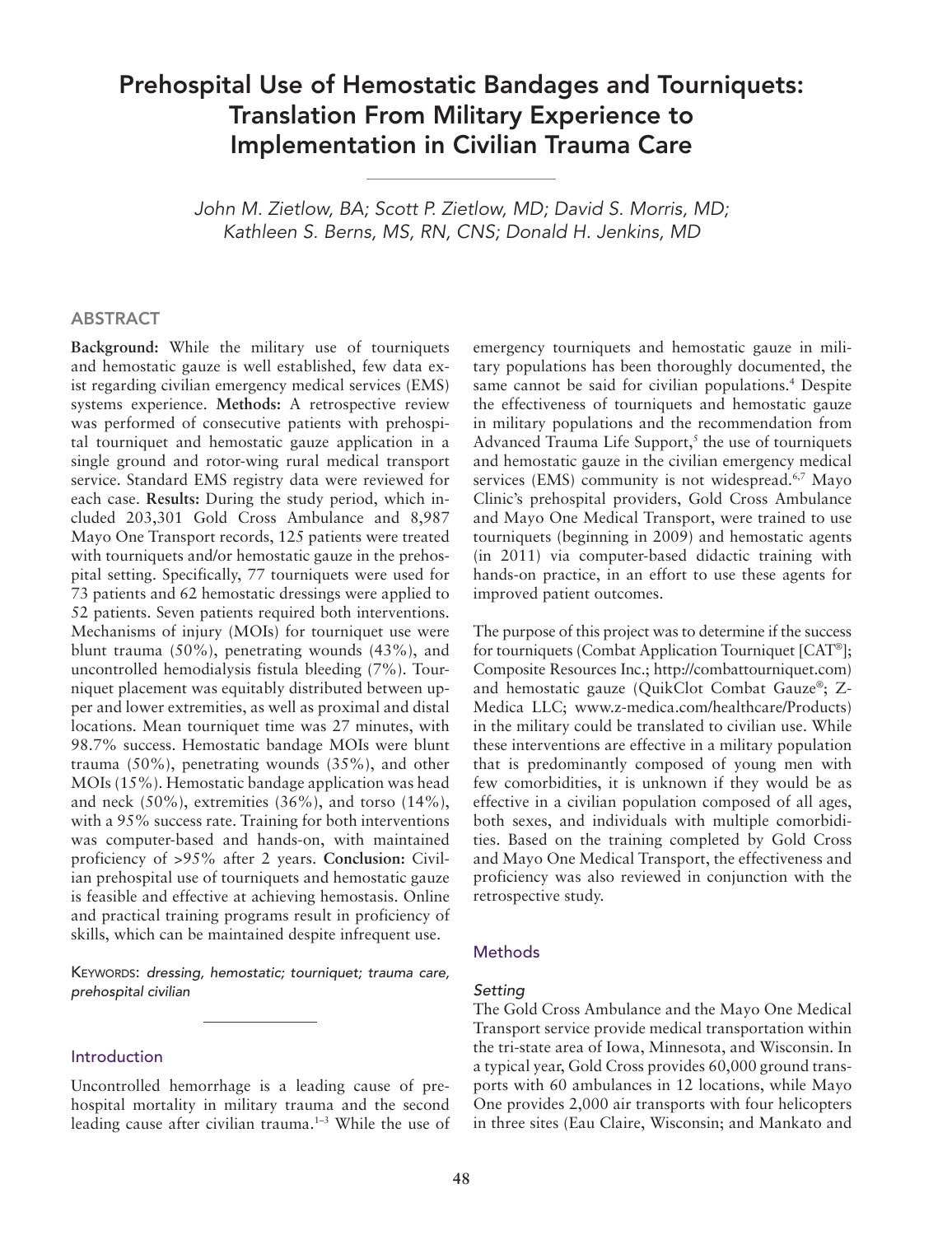# Prehospital Use of Hemostatic Bandages and Tourniquets: Translation From Military Experience to Implementation in Civilian Trauma Care

*John M. Zietlow, BA; Scott P. Zietlow, MD; David S. Morris, MD; Kathleen S. Berns, MS, RN, CNS; Donald H. Jenkins, MD*

#### ABSTRACT

**Background:** While the military use of tourniquets and hemostatic gauze is well established, few data exist regarding civilian emergency medical services (EMS) systems experience. **Methods:** A retrospective review was performed of consecutive patients with prehospital tourniquet and hemostatic gauze application in a single ground and rotor-wing rural medical transport service. Standard EMS registry data were reviewed for each case. **Results:** During the study period, which included 203,301 Gold Cross Ambulance and 8,987 Mayo One Transport records, 125 patients were treated with tourniquets and/or hemostatic gauze in the prehospital setting. Specifically, 77 tourniquets were used for 73 patients and 62 hemostatic dressings were applied to 52 patients. Seven patients required both interventions. Mechanisms of injury (MOIs) for tourniquet use were blunt trauma (50%), penetrating wounds (43%), and uncontrolled hemodialysis fistula bleeding (7%). Tourniquet placement was equitably distributed between upper and lower extremities, as well as proximal and distal locations. Mean tourniquet time was 27 minutes, with 98.7% success. Hemostatic bandage MOIs were blunt trauma (50%), penetrating wounds (35%), and other MOIs (15%). Hemostatic bandage application was head and neck  $(50\%)$ , extremities  $(36\%)$ , and torso  $(14\%)$ , with a 95% success rate. Training for both interventions was computer-based and hands-on, with maintained proficiency of >95% after 2 years. **Conclusion:** Civilian prehospital use of tourniquets and hemostatic gauze is feasible and effective at achieving hemostasis. Online and practical training programs result in proficiency of skills, which can be maintained despite infrequent use.

KEYWORDS: dressing, hemostatic; tourniquet; trauma care, *prehospital civilian*

### Introduction

Uncontrolled hemorrhage is a leading cause of prehospital mortality in military trauma and the second leading cause after civilian trauma.<sup>1-3</sup> While the use of emergency tourniquets and hemostatic gauze in military populations has been thoroughly documented, the same cannot be said for civilian populations.<sup>4</sup> Despite the effectiveness of tourniquets and hemostatic gauze in military populations and the recommendation from Advanced Trauma Life Support, $<sup>5</sup>$  the use of tourniquets</sup> and hemostatic gauze in the civilian emergency medical services (EMS) community is not widespread.<sup>6,7</sup> Mayo Clinic's prehospital providers, Gold Cross Ambulance and Mayo One Medical Transport, were trained to use tourniquets (beginning in 2009) and hemostatic agents (in 2011) via computer-based didactic training with hands-on practice, in an effort to use these agents for improved patient outcomes.

The purpose of this project was to determine if the success for tourniquets (Combat Application Tourniquet [CAT®]; Composite Resources Inc.; http://combattourniquet.com) and hemostatic gauze (QuikClot Combat Gauze®; Z-Medica LLC; www.z-medica.com/healthcare/Products) in the military could be translated to civilian use. While these interventions are effective in a military population that is predominantly composed of young men with few comorbidities, it is unknown if they would be as effective in a civilian population composed of all ages, both sexes, and individuals with multiple comorbidities. Based on the training completed by Gold Cross and Mayo One Medical Transport, the effectiveness and proficiency was also reviewed in conjunction with the retrospective study.

#### **Methods**

#### *Setting*

The Gold Cross Ambulance and the Mayo One Medical Transport service provide medical transportation within the tri-state area of Iowa, Minnesota, and Wisconsin. In a typical year, Gold Cross provides 60,000 ground transports with 60 ambulances in 12 locations, while Mayo One provides 2,000 air transports with four helicopters in three sites (Eau Claire, Wisconsin; and Mankato and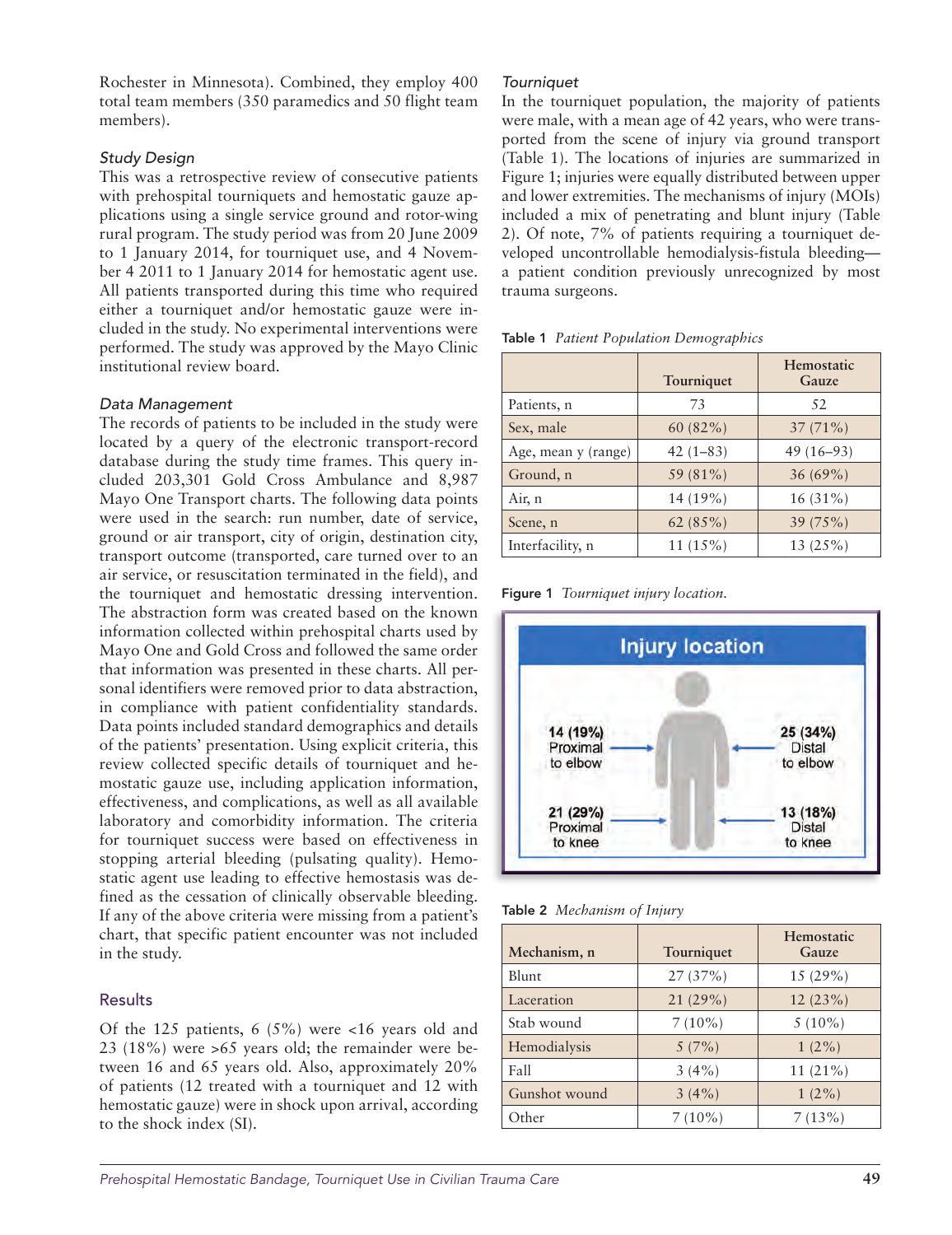Rochester in Minnesota). Combined, they employ 400 total team members (350 paramedics and 50 flight team members).

# *Study Design*

This was a retrospective review of consecutive patients with prehospital tourniquets and hemostatic gauze applications using a single service ground and rotor-wing rural program. The study period was from 20 June 2009 to 1 January 2014, for tourniquet use, and 4 November 4 2011 to 1 January 2014 for hemostatic agent use. All patients transported during this time who required either a tourniquet and/or hemostatic gauze were included in the study. No experimental interventions were performed. The study was approved by the Mayo Clinic institutional review board.

### *Data Management*

The records of patients to be included in the study were located by a query of the electronic transport-record database during the study time frames. This query included 203,301 Gold Cross Ambulance and 8,987 Mayo One Transport charts. The following data points were used in the search: run number, date of service, ground or air transport, city of origin, destination city, transport outcome (transported, care turned over to an air service, or resuscitation terminated in the field), and the tourniquet and hemostatic dressing intervention. The abstraction form was created based on the known information collected within prehospital charts used by Mayo One and Gold Cross and followed the same order that information was presented in these charts. All personal identifiers were removed prior to data abstraction, in compliance with patient confidentiality standards. Data points included standard demographics and details of the patients' presentation. Using explicit criteria, this review collected specific details of tourniquet and hemostatic gauze use, including application information, effectiveness, and complications, as well as all available laboratory and comorbidity information. The criteria for tourniquet success were based on effectiveness in stopping arterial bleeding (pulsating quality). Hemostatic agent use leading to effective hemostasis was defined as the cessation of clinically observable bleeding. If any of the above criteria were missing from a patient's chart, that specific patient encounter was not included in the study.

# Results

Of the 125 patients,  $6(5\%)$  were <16 years old and 23 (18%) were >65 years old; the remainder were between 16 and 65 years old. Also, approximately 20% of patients (12 treated with a tourniquet and 12 with hemostatic gauze) were in shock upon arrival, according to the shock index (SI).

#### *Tourniquet*

In the tourniquet population, the majority of patients were male, with a mean age of 42 years, who were transported from the scene of injury via ground transport (Table 1). The locations of injuries are summarized in Figure 1; injuries were equally distributed between upper and lower extremities. The mechanisms of injury (MOIs) included a mix of penetrating and blunt injury (Table 2). Of note, 7% of patients requiring a tourniquet developed uncontrollable hemodialysis-fistula bleeding a patient condition previously unrecognized by most trauma surgeons.

Table 1 *Patient Population Demographics*

|                     | Tourniquet  | Hemostatic<br>Gauze |
|---------------------|-------------|---------------------|
| Patients, n         | 73          | 52                  |
| Sex, male           | $60(82\%)$  | $37(71\%)$          |
| Age, mean y (range) | $42(1-83)$  | $49(16-93)$         |
| Ground, n           | 59 (81%)    | 36(69%)             |
| Air, n              | 14 (19%)    | $16(31\%)$          |
| Scene, n            | 62 $(85\%)$ | 39(75%)             |
| Interfacility, n    | $11(15\%)$  | 13(25%)             |

Figure 1 *Tourniquet injury location.*



Table 2 *Mechanism of Injury*

| Mechanism, n  | Tourniquet | Hemostatic<br>Gauze |
|---------------|------------|---------------------|
| Blunt         | 27(37%)    | 15(29%)             |
| Laceration    | 21(29%)    | 12(23%)             |
| Stab wound    | $7(10\%)$  | $5(10\%)$           |
| Hemodialysis  | 5(7%)      | $1(2\%)$            |
| Fall          | $3(4\%)$   | $11(21\%)$          |
| Gunshot wound | 3(4%)      | $1(2\%)$            |
| Other         | $7(10\%)$  | 7(13%)              |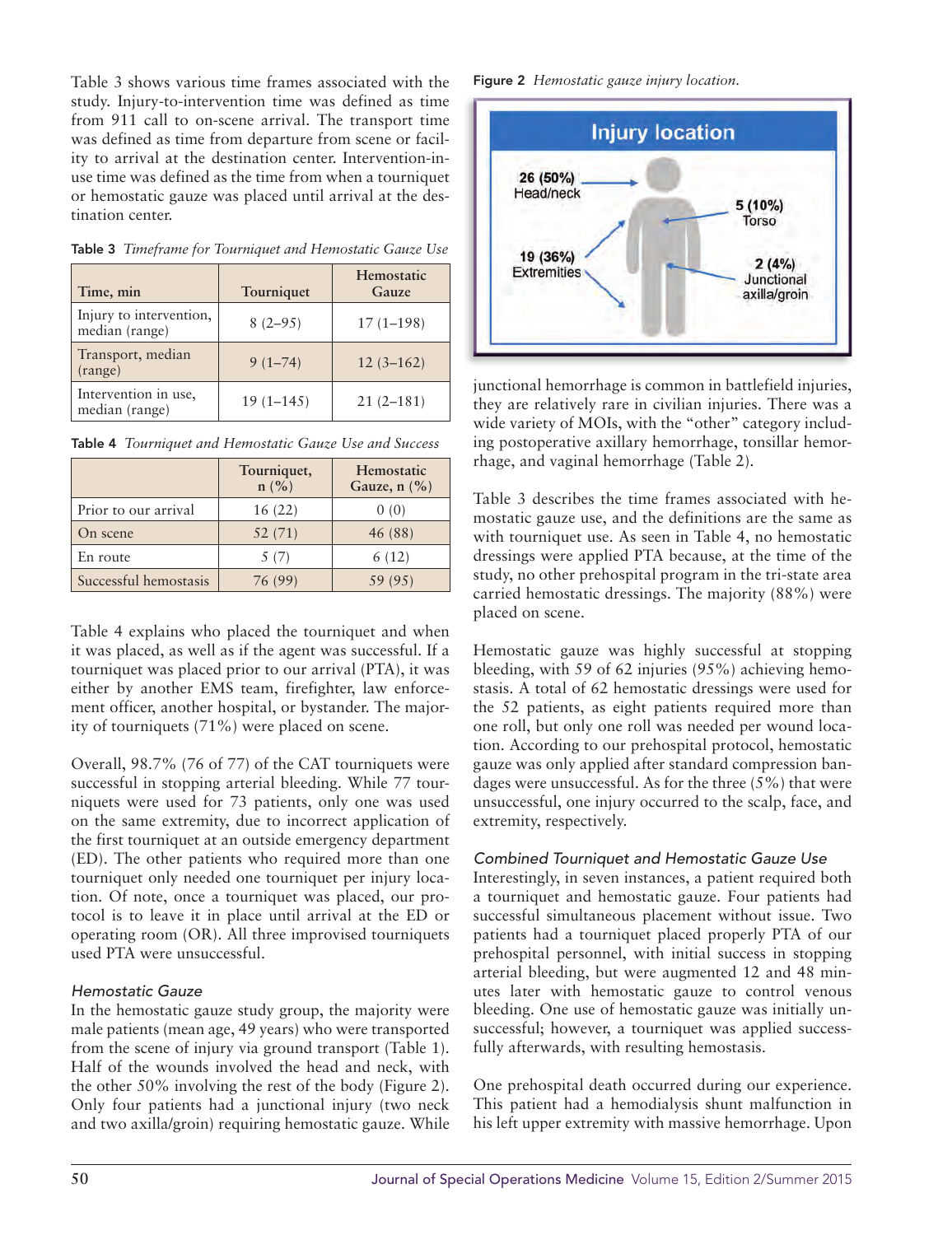Table 3 shows various time frames associated with the study. Injury-to-intervention time was defined as time from 911 call to on-scene arrival. The transport time was defined as time from departure from scene or facility to arrival at the destination center. Intervention-inuse time was defined as the time from when a tourniquet or hemostatic gauze was placed until arrival at the destination center.

| Time, min                                 | Tourniquet  | Hemostatic<br>Gauze |
|-------------------------------------------|-------------|---------------------|
| Injury to intervention,<br>median (range) | $8(2-95)$   | $17(1-198)$         |
| Transport, median<br>(range)              | $9(1-74)$   | $12(3-162)$         |
| Intervention in use,<br>median (range)    | $19(1-145)$ | $21(2-181)$         |

Table 3 *Timeframe for Tourniquet and Hemostatic Gauze Use*

| Table 4 Tourniquet and Hemostatic Gauze Use and Success |  |  |
|---------------------------------------------------------|--|--|

|                       | Tourniquet,<br>n (%) | Hemostatic<br>Gauze, $n$ $(\% )$ |
|-----------------------|----------------------|----------------------------------|
| Prior to our arrival  | 16(22)               | 0(0)                             |
| On scene              | 52 (71)              | 46 (88)                          |
| En route              | 5 (7)                | 6(12)                            |
| Successful hemostasis | 76 (99)              | 59 (95)                          |

Table 4 explains who placed the tourniquet and when it was placed, as well as if the agent was successful. If a tourniquet was placed prior to our arrival (PTA), it was either by another EMS team, firefighter, law enforcement officer, another hospital, or bystander. The majority of tourniquets (71%) were placed on scene.

Overall, 98.7% (76 of 77) of the CAT tourniquets were successful in stopping arterial bleeding. While 77 tourniquets were used for 73 patients, only one was used on the same extremity, due to incorrect application of the first tourniquet at an outside emergency department (ED). The other patients who required more than one tourniquet only needed one tourniquet per injury location. Of note, once a tourniquet was placed, our protocol is to leave it in place until arrival at the ED or operating room (OR). All three improvised tourniquets used PTA were unsuccessful.

# *Hemostatic Gauze*

In the hemostatic gauze study group, the majority were male patients (mean age, 49 years) who were transported from the scene of injury via ground transport (Table 1). Half of the wounds involved the head and neck, with the other 50% involving the rest of the body (Figure 2). Only four patients had a junctional injury (two neck and two axilla/groin) requiring hemostatic gauze. While

Figure 2 *Hemostatic gauze injury location.*



junctional hemorrhage is common in battlefield injuries, they are relatively rare in civilian injuries. There was a wide variety of MOIs, with the "other" category including postoperative axillary hemorrhage, tonsillar hemorrhage, and vaginal hemorrhage (Table 2).

Table 3 describes the time frames associated with hemostatic gauze use, and the definitions are the same as with tourniquet use. As seen in Table 4, no hemostatic dressings were applied PTA because, at the time of the study, no other prehospital program in the tri-state area carried hemostatic dressings. The majority (88%) were placed on scene.

Hemostatic gauze was highly successful at stopping bleeding, with 59 of 62 injuries (95%) achieving hemostasis. A total of 62 hemostatic dressings were used for the 52 patients, as eight patients required more than one roll, but only one roll was needed per wound location. According to our prehospital protocol, hemostatic gauze was only applied after standard compression bandages were unsuccessful. As for the three (5%) that were unsuccessful, one injury occurred to the scalp, face, and extremity, respectively.

# *Combined Tourniquet and Hemostatic Gauze Use*

Interestingly, in seven instances, a patient required both a tourniquet and hemostatic gauze. Four patients had successful simultaneous placement without issue. Two patients had a tourniquet placed properly PTA of our prehospital personnel, with initial success in stopping arterial bleeding, but were augmented 12 and 48 minutes later with hemostatic gauze to control venous bleeding. One use of hemostatic gauze was initially unsuccessful; however, a tourniquet was applied successfully afterwards, with resulting hemostasis.

One prehospital death occurred during our experience. This patient had a hemodialysis shunt malfunction in his left upper extremity with massive hemorrhage. Upon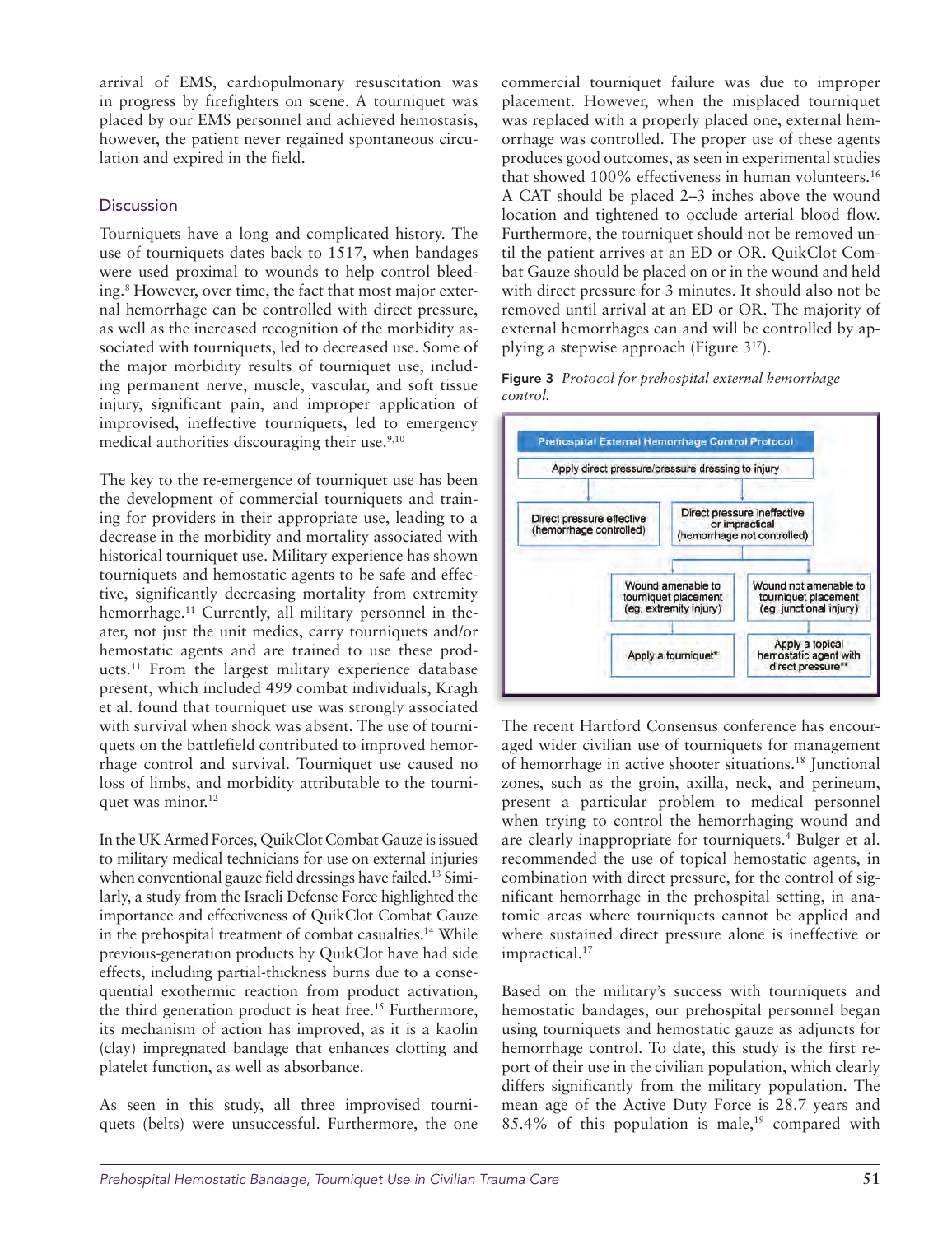arrival of EMS, cardiopulmonary resuscitation was in progress by firefighters on scene. A tourniquet was placed by our EMS personnel and achieved hemostasis, however, the patient never regained spontaneous circulation and expired in the field.

# **Discussion**

Tourniquets have a long and complicated history. The use of tourniquets dates back to 1517, when bandages were used proximal to wounds to help control bleeding.8 However, over time, the fact that most major external hemorrhage can be controlled with direct pressure, as well as the increased recognition of the morbidity associated with tourniquets, led to decreased use. Some of the major morbidity results of tourniquet use, including permanent nerve, muscle, vascular, and soft tissue injury, significant pain, and improper application of improvised, ineffective tourniquets, led to emergency medical authorities discouraging their use.<sup>9,10</sup>

The key to the re-emergence of tourniquet use has been the development of commercial tourniquets and training for providers in their appropriate use, leading to a decrease in the morbidity and mortality associated with historical tourniquet use. Military experience has shown tourniquets and hemostatic agents to be safe and effective, significantly decreasing mortality from extremity hemorrhage.<sup>11</sup> Currently, all military personnel in theater, not just the unit medics, carry tourniquets and/or hemostatic agents and are trained to use these products.11 From the largest military experience database present, which included 499 combat individuals, Kragh et al. found that tourniquet use was strongly associated with survival when shock was absent. The use of tourniquets on the battlefield contributed to improved hemorrhage control and survival. Tourniquet use caused no loss of limbs, and morbidity attributable to the tourniquet was minor.<sup>12</sup>

In the UK Armed Forces, QuikClot Combat Gauze is issued to military medical technicians for use on external injuries when conventional gauze field dressings have failed.<sup>13</sup> Similarly, a study from the Israeli Defense Force highlighted the importance and effectiveness of QuikClot Combat Gauze in the prehospital treatment of combat casualties.<sup>14</sup> While previous-generation products by QuikClot have had side effects, including partial-thickness burns due to a consequential exothermic reaction from product activation, the third generation product is heat free.<sup>15</sup> Furthermore, its mechanism of action has improved, as it is a kaolin (clay) impregnated bandage that enhances clotting and platelet function, as well as absorbance.

As seen in this study, all three improvised tourniquets (belts) were unsuccessful. Furthermore, the one commercial tourniquet failure was due to improper placement. However, when the misplaced tourniquet was replaced with a properly placed one, external hemorrhage was controlled. The proper use of these agents produces good outcomes, as seen in experimental studies that showed 100% effectiveness in human volunteers.<sup>16</sup> A CAT should be placed 2–3 inches above the wound location and tightened to occlude arterial blood flow. Furthermore, the tourniquet should not be removed until the patient arrives at an ED or OR. QuikClot Combat Gauze should be placed on or in the wound and held with direct pressure for 3 minutes. It should also not be removed until arrival at an ED or OR. The majority of external hemorrhages can and will be controlled by applying a stepwise approach (Figure 317).





The recent Hartford Consensus conference has encouraged wider civilian use of tourniquets for management of hemorrhage in active shooter situations.18 Junctional zones, such as the groin, axilla, neck, and perineum, present a particular problem to medical personnel when trying to control the hemorrhaging wound and are clearly inappropriate for tourniquets.<sup>4</sup> Bulger et al. recommended the use of topical hemostatic agents, in combination with direct pressure, for the control of significant hemorrhage in the prehospital setting, in anatomic areas where tourniquets cannot be applied and where sustained direct pressure alone is ineffective or impractical.<sup>17</sup>

Based on the military's success with tourniquets and hemostatic bandages, our prehospital personnel began using tourniquets and hemostatic gauze as adjuncts for hemorrhage control. To date, this study is the first report of their use in the civilian population, which clearly differs significantly from the military population. The mean age of the Active Duty Force is 28.7 years and  $85.4\%$  of this population is male,<sup>19</sup> compared with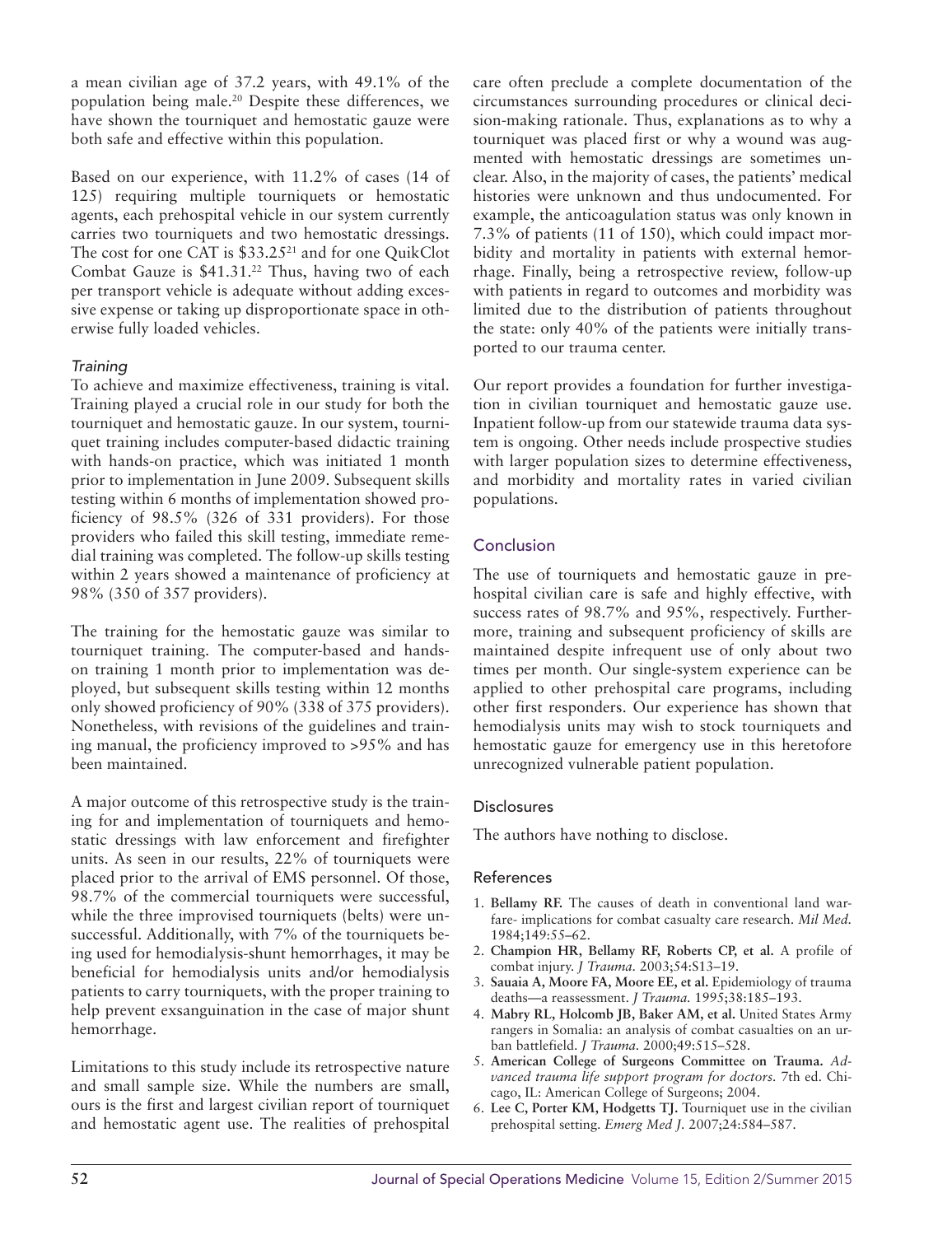a mean civilian age of 37.2 years, with 49.1% of the population being male.20 Despite these differences, we have shown the tourniquet and hemostatic gauze were both safe and effective within this population.

Based on our experience, with 11.2% of cases (14 of 125) requiring multiple tourniquets or hemostatic agents, each prehospital vehicle in our system currently carries two tourniquets and two hemostatic dressings. The cost for one CAT is \$33.2521 and for one QuikClot Combat Gauze is \$41.31.<sup>22</sup> Thus, having two of each per transport vehicle is adequate without adding excessive expense or taking up disproportionate space in otherwise fully loaded vehicles.

# *Training*

To achieve and maximize effectiveness, training is vital. Training played a crucial role in our study for both the tourniquet and hemostatic gauze. In our system, tourniquet training includes computer-based didactic training with hands-on practice, which was initiated 1 month prior to implementation in June 2009. Subsequent skills testing within 6 months of implementation showed proficiency of 98.5% (326 of 331 providers). For those providers who failed this skill testing, immediate remedial training was completed. The follow-up skills testing within 2 years showed a maintenance of proficiency at 98% (350 of 357 providers).

The training for the hemostatic gauze was similar to tourniquet training. The computer-based and handson training 1 month prior to implementation was deployed, but subsequent skills testing within 12 months only showed proficiency of 90% (338 of 375 providers). Nonetheless, with revisions of the guidelines and training manual, the proficiency improved to >95% and has been maintained.

A major outcome of this retrospective study is the training for and implementation of tourniquets and hemostatic dressings with law enforcement and firefighter units. As seen in our results, 22% of tourniquets were placed prior to the arrival of EMS personnel. Of those, 98.7% of the commercial tourniquets were successful, while the three improvised tourniquets (belts) were unsuccessful. Additionally, with 7% of the tourniquets being used for hemodialysis-shunt hemorrhages, it may be beneficial for hemodialysis units and/or hemodialysis patients to carry tourniquets, with the proper training to help prevent exsanguination in the case of major shunt hemorrhage.

Limitations to this study include its retrospective nature and small sample size. While the numbers are small, ours is the first and largest civilian report of tourniquet and hemostatic agent use. The realities of prehospital care often preclude a complete documentation of the circumstances surrounding procedures or clinical decision-making rationale. Thus, explanations as to why a tourniquet was placed first or why a wound was augmented with hemostatic dressings are sometimes unclear. Also, in the majority of cases, the patients' medical histories were unknown and thus undocumented. For example, the anticoagulation status was only known in 7.3% of patients (11 of 150), which could impact morbidity and mortality in patients with external hemorrhage. Finally, being a retrospective review, follow-up with patients in regard to outcomes and morbidity was limited due to the distribution of patients throughout the state: only 40% of the patients were initially transported to our trauma center.

Our report provides a foundation for further investigation in civilian tourniquet and hemostatic gauze use. Inpatient follow-up from our statewide trauma data system is ongoing. Other needs include prospective studies with larger population sizes to determine effectiveness, and morbidity and mortality rates in varied civilian populations.

# Conclusion

The use of tourniquets and hemostatic gauze in prehospital civilian care is safe and highly effective, with success rates of 98.7% and 95%, respectively. Furthermore, training and subsequent proficiency of skills are maintained despite infrequent use of only about two times per month. Our single-system experience can be applied to other prehospital care programs, including other first responders. Our experience has shown that hemodialysis units may wish to stock tourniquets and hemostatic gauze for emergency use in this heretofore unrecognized vulnerable patient population.

# Disclosures

The authors have nothing to disclose.

#### References

- 1. **Bellamy RF.** The causes of death in conventional land warfare- implications for combat casualty care research. *Mil Med.*  1984;149:55–62.
- 2. **Champion HR, Bellamy RF, Roberts CP, et al.** A profile of combat injury. *J Trauma.* 2003;54:S13–19.
- 3. **Sauaia A, Moore FA, Moore EE, et al.** Epidemiology of trauma deaths—a reassessment. *J Trauma.* 1995;38:185–193.
- 4. **Mabry RL, Holcomb JB, Baker AM, et al.** United States Army rangers in Somalia: an analysis of combat casualties on an urban battlefield. *J Trauma.* 2000;49:515–528.
- 5. **American College of Surgeons Committee on Trauma.** *Advanced trauma life support program for doctors.* 7th ed. Chicago, IL: American College of Surgeons; 2004.
- 6. **Lee C, Porter KM, Hodgetts TJ.** Tourniquet use in the civilian prehospital setting. *Emerg Med J.* 2007;24:584–587.